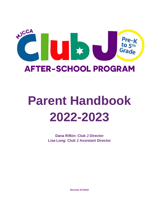

# <span id="page-0-0"></span>**Parent Handbook 2022-2023**

**Dana Rifkin: Club J Director Lisa Long: Club J Assistant Director**

**Revised 3/7/2022**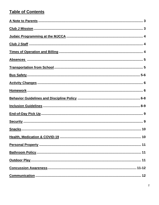## **Table of Contents**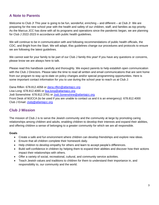## <span id="page-2-0"></span>**A Note to Parents**

Welcome to Club J! This year is going to be fun, wonderful, enriching – and different – at Club J! We are preparing for the new school year with the health and safety of our children, staff, and families as top priority. As the Marcus JCC has done with all its programs and operations since the pandemic began, we are planning for Club J 2022-2023 in accordance with public health guidelines.

We will continue to be in communication with and following recommendations of public health officials, the CDC, and Bright from the Start. We will adapt, if/as guidelines change our procedures and protocols to ensure we are following the latest guidelines.

We cannot wait for your family to be part of our Club J family this year! If you have any questions or concerns, please know we are always here to talk.

Please read this handbook carefully and thoroughly. We expect parents to help establish open communication with the Club J Directors. Please take the time to read all written and email communications that are sent home from our program to stay up-to-date on policy changes and/or special programming opportunities. Here is some important contact information for you to use during the school year to reach us at Club J:

Dana Rifkin: 678.812.4058 or [dana.rifkin@atlantajcc.org](mailto:dana.rifkin@atlantajcc.org) Lisa Long: 678.812.4065 or [lisa.long@atlantajcc.org](mailto:lisa.long@atlantajcc.org) Jodi Sonenshine: 678.812.3761 or [Jodi.Sonenshine@atlantajcc.org](mailto:Jodi.Sonenshine@atlantajcc.org) Front Desk of MJCCA (to be used if you are unable to contact us and it is an emergency): 678.812.4000 Club J Email: [clubj@atlantajcc.org](mailto:clubj@atlantajcc.org)

## <span id="page-2-1"></span>**Club J Mission**

The mission of Club J is to serve the Jewish community and the community at large by promoting caring relationships among children and adults, enabling children to develop their interests and expand their abilities, and offering children a sense of belonging to a greater community for which we are all responsible.

#### <span id="page-2-2"></span>**Goals**

- Create a safe and fun environment where children can develop friendships and explore new ideas.
- Ensure that all children complete their homework daily.
- Help children to develop empathy for others and learn to accept people's differences.
- Build self-confidence in children by helping them to expand their abilities and discover how their actions impact their relationships with others.
- Offer a variety of social, recreational, cultural, and community service activities.
- Teach Jewish values and traditions to children for them to understand their importance in, and responsibility to, our community and the world.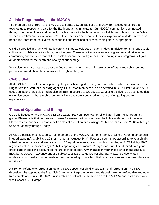## <span id="page-3-0"></span>**Judaic Programming at the MJCCA**

The programs for children at the MJCCA celebrate Jewish traditions and draw from a code of ethics that teaches us to respect and care for the Earth and all its inhabitants. Our MJCCA community is connected through this circle of care and respect, which expands to the broader world of all human life and nature. While we seek to affirm our Jewish children's cultural identity and enhance families' exploration of Judaism, we also honor and learn from the diverse experiences and traditions of all who participate in our programs.

Children enrolled in Club J will participate in a Shabbat celebration each Friday, in addition to numerous Judaic cultural and holiday activities throughout the year. These activities are a source of great joy and pride in our community, and we hope that all the people from diverse backgrounds participating in our programs will gain an appreciation for the depth and beauty of our heritage.

We welcome your questions about our Judaic programming and will make every effort to keep children and parents informed about these activities throughout the year.

## <span id="page-3-1"></span>**Club J Staff**

All the Club J counselors participate regularly in school-aged trainings and workshops which are overseen by Bright from the Start, our licensing agency. Club J staff members are also certified in CPR, First Aid, and AED use. Counselors have also had additional training specific to COVID-19. Counselors strive to be trusted guides, while also ensuring that the children are actively and safely engaged in a range of engaging and fun experiences.

## <span id="page-3-2"></span>**Times of Operation and Billing**

Club J is housed on the MJCCA's 52-acre Zaban Park campus. We enroll children from Pre-K through 5th grade. Please note that our program closes for several religious and secular holidays throughout the year. Please refer to our calendar for specific dates of operation and closings. Club J hours are from 2:00pm through 6:00pm, Monday through Friday.

All Club J participants must be current members of the MJCCA (part of a Family or Single Parent membership in good standing). Club J is a 10-month program (August-May). Fees are determined according to your child's scheduled attendance and are divided into 10 equal payments, billed monthly from August 2021 to May 2022, regardless of the number of days Club J is operating each month. Charges for Club J are debited from your credit card or checking account on the 3rd of every month. Any changes in your child's enrollment schedule must be approved in advance and are subject to a \$25 change fee per change. Please provide written notification two weeks prior to the date the change will go into effect. Refunds for absences or missed days are not issued.

A \$50 non-refundable registration fee and \$100 deposit per child is due at time of registration. The \$100 deposit will be applied to the final Club J payment. Registration fees and deposits are non-refundable and nontransferable after June 30, 2022. Tuition rates do not include membership to the MJCCA nor costs associated with School's Out Camps.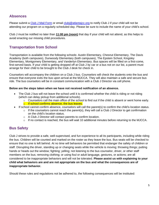### <span id="page-4-0"></span>**Absences**

Please submit a [Club J Mail Form](https://atlantajcc.formstack.com/forms/cj_mail) or email [clubj@atlantajcc.org](mailto:clubj@atlantajcc.org) to notify Club J if your child will not be attending our program on a regularly scheduled day. Please be sure to include the name of your child's school.

Club J must be notified no later than **11:00 pm (noon)** that day if your child will not attend, as this helps to avoid enacting our missing child procedures.

## <span id="page-4-1"></span>**Transportation from School**

Transportation is available from the following schools: Austin Elementary, Chesnut Elementary, The Davis Academy (both campuses), Dunwoody Elementary (both campuses), The Epstein School, Kingsley Elementary, Montgomery Elementary, and Vanderlyn Elementary. Bus spaces will be filled on a first-come, first-served basis. If your child is getting dropped off at Club J by car or a bus not on our list, a parent must arrange for their child to be brought to the Club J desk for check in.

Counselors will accompany the children on a Club J bus. Counselors will check the students onto the bus and ensure that everyone exits the bus upon arrival at the MJCCA. They will also maintain a safe and secure bus ride. The bus counselors will be in constant communication with a Club J Director via cell phone.

#### **Below are the steps taken when we have not received notification of an absence.**

- The Club J bus will not leave the school until it is confirmed whether the child is riding or not riding (which can delay pickup from additional schools).
	- $\circ$  Counselors call the main office of the school to find out if the child is absent or went home early. o If school confirms absence, the bus leaves.
- If school cannot confirm absence, counselors will call the parent(s) to confirm the child's location status.
	- $\circ$  If the counselors cannot reach the parent(s), they will call a Club J Director to get confirmation on the child's location status.
	- o A Club J Director will contact parents to confirm location.
	- $\circ$  If no contact is reached, the bus will wait 10 additional minutes before returning to the MJCCA.

## <span id="page-4-2"></span>**Bus Safety**

Club J strives to provide a safe, well-supervised, and fun experience to all its participants, including while riding the bus. Children will be counted and marked on the roster as they leave the bus. Bus seats will be checked to ensure that no one is left behind. At no time will behaviors be permitted that endanger the safety of children or staff. Disrupting the driver, standing up or changing seats while the vehicle is moving; throwing things; putting hands or heads out the window; fighting; yelling; not listening to the bus counselor, driver, or other staff members on the bus; removing clothing; or using foul or adult language, gestures, or actions; are all considered to be inappropriate behaviors and will not be tolerated. **Please assist us with explaining to your child what behaviors are and are not appropriate on the bus and what the consequences are of inappropriate behavior.**

Should these rules and regulations not be adhered to, the following consequences will be instituted: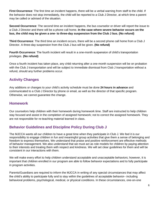**First Occurrence**: The first time an incident happens, there will be a verbal warning from staff to the child. If the behavior does not stop immediately, the child will be reported to a Club J Director, at which time a parent may be called or advised of the situation.

**Second Occurrence**: The second time an incident happens, the bus counselor or driver will report the issue to a Club J Director and there will be a phone call home. **In the case where severe behavior occurs on the bus, the child may be given a one- to three-day suspension from the Club J bus. (No refund)**

**Third Occurrence**: The third time an incident occurs, there will be a second phone call home from a Club J Director. A three-day suspension from the Club J bus will be given. **(No refund)**

**Fourth Occurrence**: The fourth incident will result in a one-month suspension of child's transportation privileges. **(No refund)**

Once a fourth incident has taken place, any child returning after a one-month suspension will be on probation with the Club J transportation and will be subject to immediate dismissal from Club J transportation without a refund, should any further problems occur.

## <span id="page-5-0"></span>**Activity Changes**

Any additions or changes to your child's activity schedule must be done **24 hours in advance** and communicated to a Club J Director by phone or email, as well as the director of that specific program. Otherwise, we cannot guarantee the change.

## <span id="page-5-1"></span>**Homework**

Our counselors help children with their homework during homework time. Staff are instructed to help children stay focused and assist in the completion of assigned homework; not to correct the assigned homework. They are not responsible for re-teaching material learned in class.

## <span id="page-5-2"></span>**Behavior Guidelines and Discipline Policy During Club J**

The MJCCA wants all our children to have a great time when they participate in Club J. We feel it is our responsibility to engage children in fun and meaningful group activities that give them a sense of belonging and freedom to express themselves. We understand that praise and positive reinforcement are effective methods of behavior management. We also understand that we must act as role models for children by paying attention to their interests and treating them with respect and kindness. We will set clear guidelines for them and will be consistent in our interactions with them.

We will make every effort to help children understand acceptable and unacceptable behaviors; however, it is important that children enrolled in our program are able to follow behavior expectations and to fully participate in program activities.

Parents/Guardians are required to inform the MJCCA in writing of any special circumstances that may affect the child's ability to participate fully and to stay within the guidelines of acceptable behavior– including behavioral problems, psychological, medical, or physical conditions. In these circumstances, one-on-one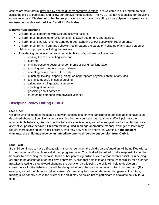counselors (facilitators), provided by and paid for by parents/guardians, are welcome in our program to help assist the child to participate and follow our behavior expectations. The MJCCA is not responsible for providing one-on-one care. **Children enrolled in our programs must have the ability to participate in a group care environment with a ratio of 2 or 3 staff to 15 children.** 

#### **Behavior Expectations**

- Children must cooperate with staff and follow directions.
- Children must respect other children, staff, MJCCA equipment, and facilities.
- Children must stay with their designated group, adhering to our supervision requirements.
- Children must refrain from any behavior that threatens the safety or wellbeing of any staff person or child in our program, including themselves.
- Threatening behaviors that are unacceptable include, but are not limited to:
	- o making fun of or insulting someone
	- o bullying
	- o making obscene gestures or comments or using foul language
	- o touching self or others inappropriately
	- $\circ$  revealing private parts of the body
	- $\circ$  punching, kicking, slapping, biting, or inappropriate physical contact of any kind
	- o taking someone's things or stealing
	- o writing nasty things about someone
	- o shouting at someone
	- o gossiping about someone
	- o threatening someone with physical violence

## **Discipline Policy During Club J**

#### **Step One:**

Children who fail to meet the stated behavior expectations, or who participate in unacceptable behaviors as described above, will be given a verbal warning by their counselor. At that time, staff will point out the unacceptable behavior, discuss how this behavior affects others, and offer suggestions for the child to use an alternative, positive behavior. Children will be guided in an age-appropriate manner. Younger children may require more coaching than older children, who may only receive one verbal warning. **If the incident warrants, the child may receive an immediate one- to three-day suspension from Club J.**

#### **Step Two:**

If a child continues to have difficulty with his or her behavior, the child's parent/guardian will be notified with an incident report and/or a phone call during program hours. The child will be asked to take responsibility for the behavior by describing the behavior to his or her parents/guardians. We ask that parents assist us in helping children to be accountable for their own behaviors. A child that admits to and takes responsibility for his or her mistakes is taking a step toward changing the behavior. At this point, the child will help to decide on a consequence for the behavior that will be designed to help change the behavior while in our program. (For example, a child that throws a ball at someone's head may become a referee for that game in the future, making sure nobody breaks the rules; or the child may be asked not to participate in a favorite activity for a time.)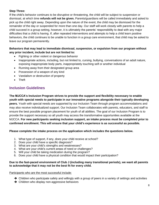#### **Step Three:**

If the child's behavior continues to be disruptive or threatening, the child will be subject to suspension or dismissal, at which time **refunds will not be given.** Parents/guardians will be called immediately and asked to pick up the child right away. Depending upon the nature of the event, the child may be dismissed for the remainder of the day or suspended for more than one day. Our staff will work closely with parents to help a child succeed in a group setting, however, it is ultimately the parents' responsibility to deal with any major difficulties that a child is having. If, after repeated interventions and attempts to help a child learn positive behaviors, the child continues to be unable to function in a group care environment, that child may be asked to leave our program permanently.

#### **Behaviors that may lead to immediate dismissal, suspension, or expulsion from our program without any prior incident, include but are not limited to:**

- Fighting or other violent or dangerous behavior
- Inappropriate actions, including, but not limited to, cursing, bullying, conversations of an adult nature, exposing inappropriate body parts, inappropriately touching self or another individual
- Running away from their designated group area
- Possession of a weapon of any kind
- Vandalism or destruction of property
- Theft

## <span id="page-7-0"></span>**Inclusion Guidelines**

**The MJCCA's Inclusion Program strives to provide the support and flexibility necessary to enable youth with special needs to participate in our innovative programs alongside their typically developing peers.** Youth with special needs are supported by our Inclusion Team through program accommodations and may also receive individualized support. Our Inclusion Team collaborates with parents, educators, and staff to ensure the best possible program placement for youth of all abilities. The goal of our Inclusion Program is to provide the support necessary so all youth may access the transformative opportunities available at the MJCCA. **For new participants seeking inclusion support, an intake process must be completed prior to confirmed enrollment. This will ensure that your child's experience is as successful as possible.**

#### **Please complete the intake process on the application which includes the questions below.**

- 1. What type of support, if any, does your child receive at school?
- 2. Does your child have a specific diagnosis?
- 3. What are your child's strengths and weaknesses?
- 4. What are your child's current areas of need or challenges?
- 5. Will your child be taking medication during the program?
- 6. Does your child have a physical condition that would impact their participation?

#### **Due to the fast-paced environment of Club J (including many transitional periods), we want all parents to acknowledge that it may not be the best fit for every child.**

#### Participants who are the most successful include:

- $\rightarrow$  Children who participate safely and willingly with a group of peers in a variety of settings and activities
- **→** Children who display non-aggressive behaviors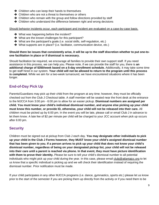- $\rightarrow$  Children who can keep their hands to themselves
- **→** Children who are not a threat to themselves or others
- **→** Children who remain with the group and follow directions provided by staff
- **→** Children who understand the difference between right and wrong decisions

Should behavior incidents occur, each participant and incident are evaluated on a case-by-case basis.

- **→** What was happening before the incident?
- ➔ What are the known challenges for this participant?
- ➔ What are the participant's goals (i.e. social skills, self-regulation, etc.)
- ➔ What supports are in place? (i.e. facilitator, communication device, etc.)

#### **Should there be issues that consistently arise, it will be up to the staff discretion whether to put one-toone facilitation in place or if dismissal is necessary.**

Should facilitation be required, we encourage all families to provide their own support staff. If you need assistance in this process, we can help you. Please note, if we can provide the staff for you, there is **an additional charge of \$350/week based on a 5-day enrollment schedule.** Additionally, it may take some time to get staff hired in our system. **Your child will not be allowed to return to the program until this process is completed.** While we aim for a two-week turnaround, we have encountered situations where it has been longer.

## <span id="page-8-0"></span>**End-of-Day Pick Up**

Parents/Guardians may pick up their child from the program at any time; however, they must be officially checked out from the Club J Checkout table. A staff member will be seated near the front desk at the entrance to the MJCCA from 3:00 pm - 6:00 pm to allow for an easier pickup. **Dismissal numbers are assigned per child. You must know your child's individual dismissal number, and anyone else picking up your child must know this number, or provide ID, otherwise, your child will not be released into their care.** All children must be picked up by 6:00 pm. In the event you will be late, please call or email Club J in advance to let them know. A late fee of \$2 per minute per child will be charged to your JCC account when pick up occurs after 6:00 pm.

## <span id="page-8-1"></span>**Security**

Children must be signed out at pickup from Club J each day. **You may designate other individuals to pick up your child in the Club J Forms however, they MUST know your child's assigned dismissal number that has been given to you. If a person arrives to pick up your child that does not know your child's dismissal number, regardless of being on your designated pickup list, your child will not be released into their care until a parent is reached via phone. In that event, they must have picture identification with them to prove their identity.** Please be sure to tell your child's dismissal number to all potential individuals who might pick up your child during the year. In this case, please email [clubj@atlantajcc.org](mailto:clubj@atlantajcc.org) to let us know that a specific individual is picking up and we will check their identification instead of requiring the dismissal number. Prior notification must be made.

If your child participates in any other MJCCA programs (i.e. dance, gymnastics, sports etc.) please let us know prior to the start of the semester if you are picking them up directly from the activity or if you need them to be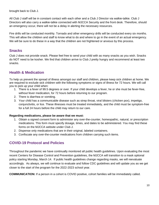brought back to Club J.

All Club J staff will be in constant contact with each other and a Club J Director via walkie-talkie. Club J Directors will also carry a walkie-talkie connected with MJCCA Security and the front desk. Therefore, should an emergency occur, there will not be a delay in alerting the necessary resources.

Fire drills will be conducted monthly. Tornado and other emergency drills will be conducted every six months. This will allow the children and staff to know what to do and where to go in the event of an actual emergency. We will be sure to do these in a way that the children are not frightened or anxious by this process.

## <span id="page-9-0"></span>**Snacks**

Club J does not provide snack. Please feel free to send your child with as many snacks as you wish. Snacks do NOT need to be kosher. We find that children arrive to Club J pretty hungry and recommend at least two snacks.

## <span id="page-9-1"></span>**Health & Medication**

To help us prevent the spread of illness amongst our staff and children, please keep sick children at home. We are required to exclude sick children with the following symptoms or signs of illness for 72 hours. We will call you to pick up your child when:

- 1. There is a fever of 99.5 degrees or over. If your child develops a fever, he or she must be fever-free, without fever medication, for 72 hours before returning to our program.
- 2. There is diarrhea or vomiting.
- 3. Your child has a communicable disease such as strep throat, viral blisters (chicken pox), impetigo, conjunctivitis, or lice. These illnesses must be treated immediately, and the child must be symptom-free for a full 24 hours before the child may return to our care.

#### **Regarding medications, please be aware that we must:**

- 1. Obtain a signed consent form to administer any over-the-counter, homeopathic, natural, or prescription medications. This form must specify dosage, times, and dates to be administered. You may find these forms on the MJCCA website under Club J.
- 2. Dispense only medications that are in their original, labeled containers.
- 3. Confiscate any over-the-counter medications from children carrying such items.

## **COVID-19 Protocol and Policies**

Throughout the pandemic we have continually monitored all public health guidelines. Upon evaluating the most recent Centers for Disease Control and Prevention guidelines, the MJCCA will transition to a mask optional policy starting Monday, March 14. If public health guidelines change regarding masks, we will reevaluate accordingly. As always, we will continue to evaluate and follow CDC guidelines and will update you as we get closer to the start of the program for the 2022-2023 school year.

**COMMUNICATION:** If a person in a cohort is COVID positive, cohort families will be immediately called.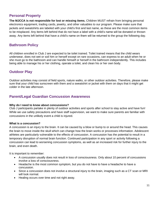## <span id="page-10-0"></span>**Personal Property**

**The MJCCA is not responsible for lost or missing items.** Children MUST refrain from bringing personal electronics equipment, trading cards, jewelry, and other valuables to our program. Please make sure that jackets and sweatshirts are labeled with your child's first and last name, as these are the most common items to be misplaced. Any items left behind that do not have a label with a child's name will be donated or thrown away. Any items left behind that have a child's name on them will be returned to the group the following day.

## <span id="page-10-1"></span>**Bathroom Policy**

All children enrolled in Club J are expected to be toilet trained. Toilet trained means that the child wears underwear, does not wet or soil him or herself except on rare occasions, can express to an adult when he or she must go to the bathroom and can handle himself or herself in the bathroom independently. This includes being able to manage his or her clothing, operate a toilet, and clean his or her own body.

## <span id="page-10-2"></span>**Outdoor Play**

Outdoor activities may consist of field sports, nature walks, or other outdoor activities. Therefore, please make sure that your child has sunscreen with them and a sweatshirt or jacket with them on days that it might get colder in the late afternoon.

## <span id="page-10-3"></span>**Parent/Legal Guardian Concussion Awareness**

#### **Why do I need to know about concussions?**

Club J participants partake in plenty of outdoor activities and sports after school to stay active and have fun! While we use safety precautions and have staff supervision, we want to make sure parents are familiar with concussions in the unlikely event a child is injured.

#### **What is a concussion?**

A concussion is an injury to the brain. It can be caused by a blow or bump to or around the head. This causes the brain to move inside the skull which can change how the brain works or processes information. Adolescent athletes are particularly vulnerable to the effects of concussion. A concussion has the potential to result in a temporary disruption of normal brain function. Continued participation in any sport or activity following a concussion can lead to worsening concussion symptoms, as well as an increased risk for further injury to the brain, and even death.

It is important to remember:

- A concussion usually does not result in loss of consciousness. Only about 10 percent of concussions involve a loss of consciousness.
- Headache is the most common symptom, but you do not have to have a headache to have a concussion.
- Since a concussion does not involve a structural injury to the brain, imaging such as a CT scan or MRI will look normal.
- Healing occurs over time and not right away.